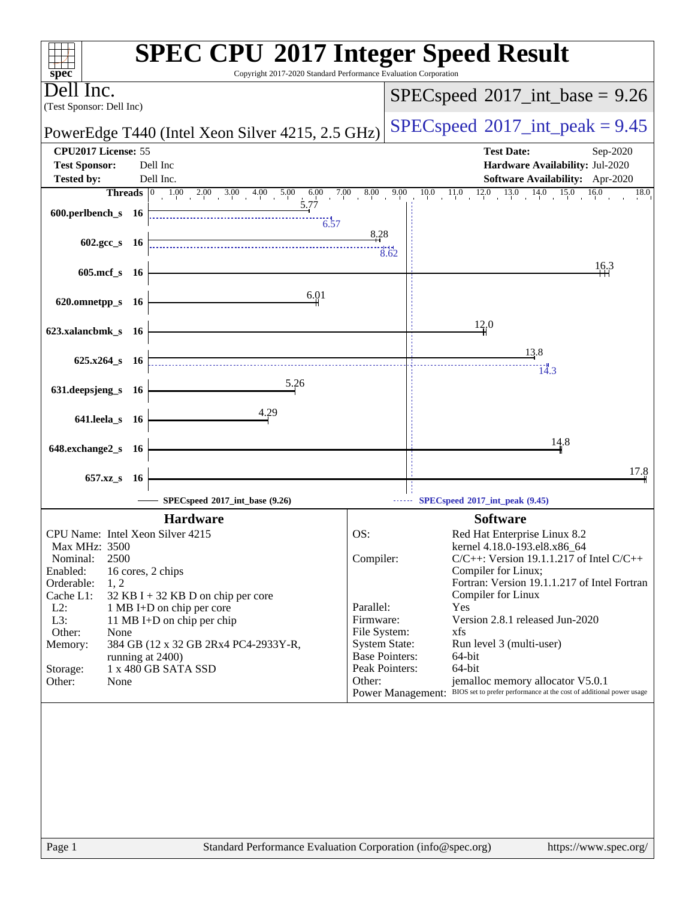| spec <sup>®</sup>                                                                                  | <b>SPEC CPU®2017 Integer Speed Result</b><br>Copyright 2017-2020 Standard Performance Evaluation Corporation |
|----------------------------------------------------------------------------------------------------|--------------------------------------------------------------------------------------------------------------|
| Dell Inc.                                                                                          | $SPEC speed$ <sup>®</sup> 2017_int_base = 9.26                                                               |
| (Test Sponsor: Dell Inc)                                                                           |                                                                                                              |
| PowerEdge T440 (Intel Xeon Silver 4215, 2.5 GHz)                                                   | $SPEC speed^{\circ}2017\_int\_peak = 9.45$                                                                   |
| CPU2017 License: 55                                                                                | <b>Test Date:</b><br>Sep-2020                                                                                |
| <b>Test Sponsor:</b><br>Dell Inc<br><b>Tested by:</b><br>Dell Inc.                                 | Hardware Availability: Jul-2020<br>Software Availability: Apr-2020                                           |
| <b>Threads</b> $\begin{array}{ l} 0 & 1.00 & 2.00 & 3.00 & 4.00 & 5.00 \end{array}$<br>$6.00$ 7.00 | 8.00<br>9.00<br>$10.0$ $11.0$ $12.0$ $13.0$ $14.0$<br>15.0<br>16.0<br>18.0                                   |
| 5.77<br>600.perlbench_s 16<br>$\frac{1}{6.57}$                                                     |                                                                                                              |
|                                                                                                    | 8.28                                                                                                         |
| $602 \text{.}$ gcc s 16                                                                            | 3.62                                                                                                         |
| 605.mcf_s 16                                                                                       | 16.3                                                                                                         |
|                                                                                                    |                                                                                                              |
| 6.01<br>620.omnetpp_s 16                                                                           |                                                                                                              |
|                                                                                                    | 12,0                                                                                                         |
| 623.xalancbmk_s 16                                                                                 |                                                                                                              |
| $625.x264_s$ 16                                                                                    | 13.8                                                                                                         |
|                                                                                                    | 14.3                                                                                                         |
| 5.26<br>631.deepsjeng_s 16                                                                         |                                                                                                              |
|                                                                                                    |                                                                                                              |
| 4.29<br>641.leela_s 16                                                                             |                                                                                                              |
|                                                                                                    | 14.8                                                                                                         |
| 648.exchange2_s 16                                                                                 |                                                                                                              |
| 657.xz_s<br>- 16                                                                                   | 17.8                                                                                                         |
| SPECspeed®2017_int_base (9.26)                                                                     | SPECspeed®2017_int_peak (9.45)                                                                               |
| <b>Hardware</b>                                                                                    | <b>Software</b>                                                                                              |
| CPU Name: Intel Xeon Silver 4215                                                                   | OS:<br>Red Hat Enterprise Linux 8.2                                                                          |
| Max MHz: 3500                                                                                      | kernel 4.18.0-193.el8.x86_64                                                                                 |
| 2500<br>Nominal:                                                                                   | Compiler:<br>$C/C++$ : Version 19.1.1.217 of Intel $C/C++$                                                   |
| Enabled:<br>16 cores, 2 chips<br>Orderable:<br>1, 2                                                | Compiler for Linux;<br>Fortran: Version 19.1.1.217 of Intel Fortran                                          |
| Cache L1:<br>32 KB I + 32 KB D on chip per core                                                    | Compiler for Linux                                                                                           |
| $L2$ :<br>1 MB I+D on chip per core                                                                | Parallel:<br>Yes                                                                                             |
| L3:<br>11 MB I+D on chip per chip                                                                  | Version 2.8.1 released Jun-2020<br>Firmware:                                                                 |
| Other:<br>None                                                                                     | File System:<br>xfs<br><b>System State:</b>                                                                  |
| Memory:<br>384 GB (12 x 32 GB 2Rx4 PC4-2933Y-R,<br>running at 2400)                                | Run level 3 (multi-user)<br><b>Base Pointers:</b><br>64-bit                                                  |
| 1 x 480 GB SATA SSD<br>Storage:                                                                    | 64-bit<br>Peak Pointers:                                                                                     |
| Other:<br>None                                                                                     | jemalloc memory allocator V5.0.1<br>Other:                                                                   |
|                                                                                                    | Power Management: BIOS set to prefer performance at the cost of additional power usage                       |
|                                                                                                    |                                                                                                              |
|                                                                                                    |                                                                                                              |
|                                                                                                    |                                                                                                              |
|                                                                                                    |                                                                                                              |
|                                                                                                    |                                                                                                              |
|                                                                                                    |                                                                                                              |
|                                                                                                    |                                                                                                              |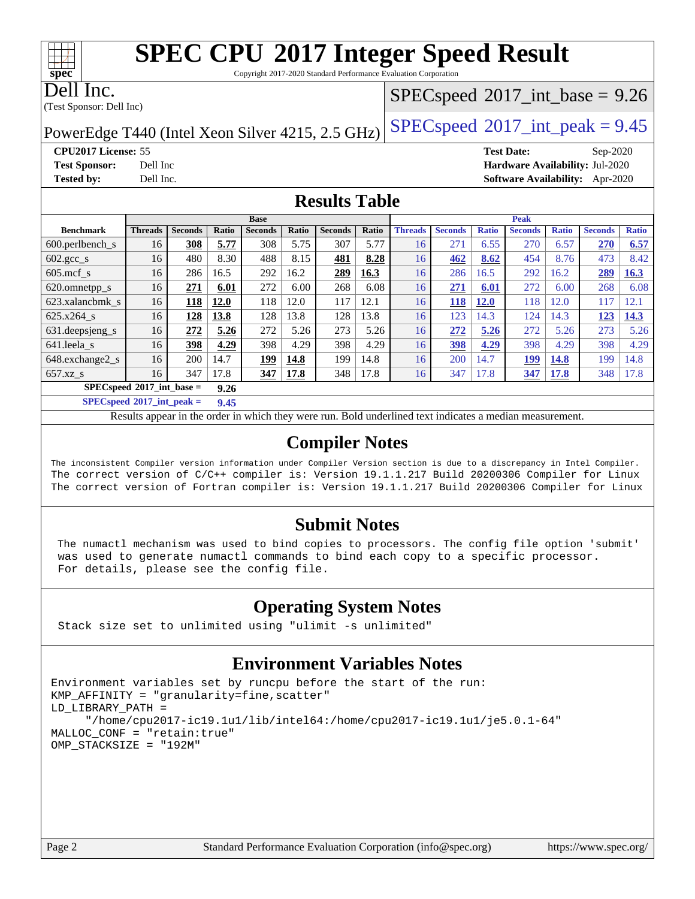Copyright 2017-2020 Standard Performance Evaluation Corporation

Dell Inc.

(Test Sponsor: Dell Inc)

## $SPECspeed^{\circledcirc}2017\_int\_base = 9.26$  $SPECspeed^{\circledcirc}2017\_int\_base = 9.26$

PowerEdge T440 (Intel Xeon Silver 4215, 2.5 GHz)  $\left|$  [SPECspeed](http://www.spec.org/auto/cpu2017/Docs/result-fields.html#SPECspeed2017intpeak)®[2017\\_int\\_peak = 9](http://www.spec.org/auto/cpu2017/Docs/result-fields.html#SPECspeed2017intpeak).45

**[CPU2017 License:](http://www.spec.org/auto/cpu2017/Docs/result-fields.html#CPU2017License)** 55 **[Test Date:](http://www.spec.org/auto/cpu2017/Docs/result-fields.html#TestDate)** Sep-2020 **[Test Sponsor:](http://www.spec.org/auto/cpu2017/Docs/result-fields.html#TestSponsor)** Dell Inc **[Hardware Availability:](http://www.spec.org/auto/cpu2017/Docs/result-fields.html#HardwareAvailability)** Jul-2020 **[Tested by:](http://www.spec.org/auto/cpu2017/Docs/result-fields.html#Testedby)** Dell Inc. **[Software Availability:](http://www.spec.org/auto/cpu2017/Docs/result-fields.html#SoftwareAvailability)** Apr-2020

## **[Results Table](http://www.spec.org/auto/cpu2017/Docs/result-fields.html#ResultsTable)**

|                                     | <b>Base</b>    |                |       |                | <b>Peak</b> |                |       |                |                |              |                |              |                |              |
|-------------------------------------|----------------|----------------|-------|----------------|-------------|----------------|-------|----------------|----------------|--------------|----------------|--------------|----------------|--------------|
| <b>Benchmark</b>                    | <b>Threads</b> | <b>Seconds</b> | Ratio | <b>Seconds</b> | Ratio       | <b>Seconds</b> | Ratio | <b>Threads</b> | <b>Seconds</b> | <b>Ratio</b> | <b>Seconds</b> | <b>Ratio</b> | <b>Seconds</b> | <b>Ratio</b> |
| $600.$ perlbench $\mathsf{S}$       | 16             | 308            | 5.77  | 308            | 5.75        | 307            | 5.77  | 16             | 271            | 6.55         | 270            | 6.57         | 270            | 6.57         |
| $602 \text{.} \text{gcc}\text{.}$ s | 16             | 480            | 8.30  | 488            | 8.15        | 481            | 8.28  | 16             | 462            | 8.62         | 454            | 8.76         | 473            | 8.42         |
| $605 \text{.mcf}$ s                 | 16             | 286            | 16.5  | 292            | 16.2        | 289            | 16.3  | 16             | 286            | 16.5         | 292            | 16.2         | 289            | 16.3         |
| 620.omnetpp_s                       | 16             | 271            | 6.01  | 272            | 6.00        | 268            | 6.08  | 16             | 271            | 6.01         | 272            | 6.00         | 268            | 6.08         |
| 623.xalancbmk s                     | 16             | 118            | 12.0  | 118            | 12.0        | 117            | 12.1  | 16             | 118            | 12.0         | 118            | 12.0         | 117            | 12.1         |
| $625.x264$ s                        | 16             | 128            | 13.8  | 128            | 13.8        | 128            | 13.8  | 16             | 123            | 14.3         | 124            | 14.3         | 123            | 14.3         |
| 631.deepsjeng_s                     | 16             | 272            | 5.26  | 272            | 5.26        | 273            | 5.26  | 16             | 272            | 5.26         | 272            | 5.26         | 273            | 5.26         |
| 641.leela s                         | 16             | 398            | 4.29  | 398            | 4.29        | 398            | 4.29  | 16             | 398            | 4.29         | 398            | 4.29         | 398            | 4.29         |
| 648.exchange2_s                     | 16             | 200            | 14.7  | 199            | 14.8        | 199            | 14.8  | 16             | 200            | 14.7         | 199            | 14.8         | 199            | 14.8         |
| $657.xz$ s                          | 16             | 347            | 17.8  | 347            | 17.8        | 348            | 17.8  | 16             | 347            | 17.8         | 347            | <b>17.8</b>  | 348            | 17.8         |
| $SPECspeed*2017$ int base =<br>9.26 |                |                |       |                |             |                |       |                |                |              |                |              |                |              |

**[SPECspeed](http://www.spec.org/auto/cpu2017/Docs/result-fields.html#SPECspeed2017intpeak)[2017\\_int\\_peak =](http://www.spec.org/auto/cpu2017/Docs/result-fields.html#SPECspeed2017intpeak) 9.45**

Results appear in the [order in which they were run.](http://www.spec.org/auto/cpu2017/Docs/result-fields.html#RunOrder) Bold underlined text [indicates a median measurement](http://www.spec.org/auto/cpu2017/Docs/result-fields.html#Median).

## **[Compiler Notes](http://www.spec.org/auto/cpu2017/Docs/result-fields.html#CompilerNotes)**

The inconsistent Compiler version information under Compiler Version section is due to a discrepancy in Intel Compiler. The correct version of C/C++ compiler is: Version 19.1.1.217 Build 20200306 Compiler for Linux The correct version of Fortran compiler is: Version 19.1.1.217 Build 20200306 Compiler for Linux

### **[Submit Notes](http://www.spec.org/auto/cpu2017/Docs/result-fields.html#SubmitNotes)**

 The numactl mechanism was used to bind copies to processors. The config file option 'submit' was used to generate numactl commands to bind each copy to a specific processor. For details, please see the config file.

## **[Operating System Notes](http://www.spec.org/auto/cpu2017/Docs/result-fields.html#OperatingSystemNotes)**

Stack size set to unlimited using "ulimit -s unlimited"

## **[Environment Variables Notes](http://www.spec.org/auto/cpu2017/Docs/result-fields.html#EnvironmentVariablesNotes)**

```
Environment variables set by runcpu before the start of the run:
KMP_AFFINITY = "granularity=fine,scatter"
LD_LIBRARY_PATH =
      "/home/cpu2017-ic19.1u1/lib/intel64:/home/cpu2017-ic19.1u1/je5.0.1-64"
MALLOC_CONF = "retain:true"
OMP_STACKSIZE = "192M"
```
**[spec](http://www.spec.org/)**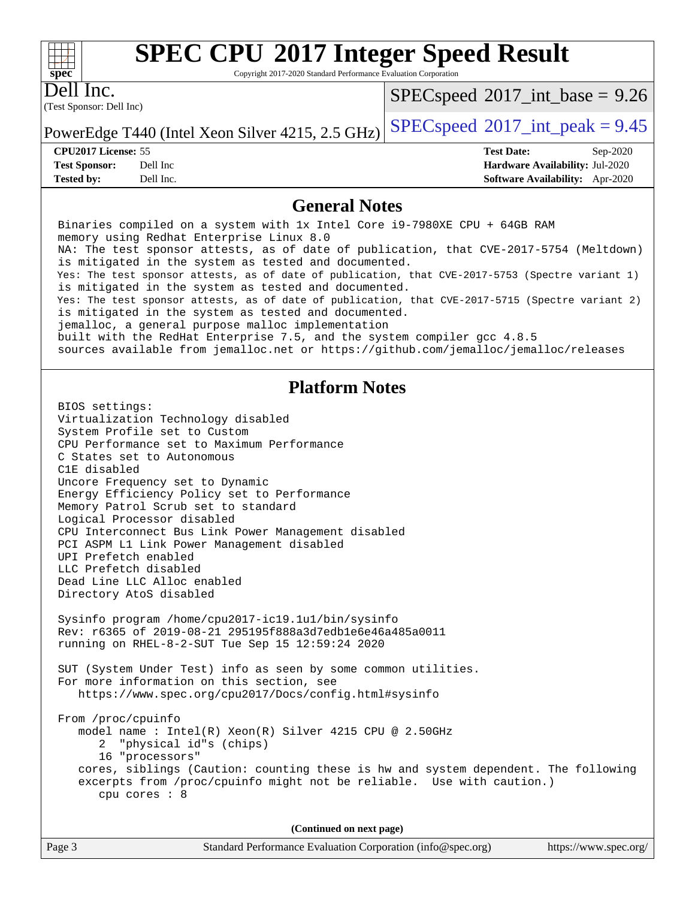Copyright 2017-2020 Standard Performance Evaluation Corporation

Dell Inc.

**[spec](http://www.spec.org/)**

 $+\hskip -1.5pt +\hskip -1.5pt +$ 

(Test Sponsor: Dell Inc)

 $SPECspeed^{\circledcirc}2017\_int\_base = 9.26$  $SPECspeed^{\circledcirc}2017\_int\_base = 9.26$ 

PowerEdge T440 (Intel Xeon Silver 4215, 2.5 GHz)  $\left|$  [SPECspeed](http://www.spec.org/auto/cpu2017/Docs/result-fields.html#SPECspeed2017intpeak)<sup>®</sup>[2017\\_int\\_peak = 9](http://www.spec.org/auto/cpu2017/Docs/result-fields.html#SPECspeed2017intpeak).45

**[Tested by:](http://www.spec.org/auto/cpu2017/Docs/result-fields.html#Testedby)** Dell Inc. **[Software Availability:](http://www.spec.org/auto/cpu2017/Docs/result-fields.html#SoftwareAvailability)** Apr-2020

**[CPU2017 License:](http://www.spec.org/auto/cpu2017/Docs/result-fields.html#CPU2017License)** 55 **[Test Date:](http://www.spec.org/auto/cpu2017/Docs/result-fields.html#TestDate)** Sep-2020 **[Test Sponsor:](http://www.spec.org/auto/cpu2017/Docs/result-fields.html#TestSponsor)** Dell Inc **[Hardware Availability:](http://www.spec.org/auto/cpu2017/Docs/result-fields.html#HardwareAvailability)** Jul-2020

### **[General Notes](http://www.spec.org/auto/cpu2017/Docs/result-fields.html#GeneralNotes)**

 Binaries compiled on a system with 1x Intel Core i9-7980XE CPU + 64GB RAM memory using Redhat Enterprise Linux 8.0 NA: The test sponsor attests, as of date of publication, that CVE-2017-5754 (Meltdown) is mitigated in the system as tested and documented. Yes: The test sponsor attests, as of date of publication, that CVE-2017-5753 (Spectre variant 1) is mitigated in the system as tested and documented. Yes: The test sponsor attests, as of date of publication, that CVE-2017-5715 (Spectre variant 2) is mitigated in the system as tested and documented. jemalloc, a general purpose malloc implementation built with the RedHat Enterprise 7.5, and the system compiler gcc 4.8.5 sources available from jemalloc.net or<https://github.com/jemalloc/jemalloc/releases> **[Platform Notes](http://www.spec.org/auto/cpu2017/Docs/result-fields.html#PlatformNotes)** BIOS settings: Virtualization Technology disabled System Profile set to Custom CPU Performance set to Maximum Performance C States set to Autonomous C1E disabled Uncore Frequency set to Dynamic Energy Efficiency Policy set to Performance Memory Patrol Scrub set to standard Logical Processor disabled CPU Interconnect Bus Link Power Management disabled PCI ASPM L1 Link Power Management disabled UPI Prefetch enabled LLC Prefetch disabled Dead Line LLC Alloc enabled Directory AtoS disabled Sysinfo program /home/cpu2017-ic19.1u1/bin/sysinfo Rev: r6365 of 2019-08-21 295195f888a3d7edb1e6e46a485a0011 running on RHEL-8-2-SUT Tue Sep 15 12:59:24 2020 SUT (System Under Test) info as seen by some common utilities. For more information on this section, see <https://www.spec.org/cpu2017/Docs/config.html#sysinfo> From /proc/cpuinfo model name : Intel(R) Xeon(R) Silver 4215 CPU @ 2.50GHz 2 "physical id"s (chips) 16 "processors" cores, siblings (Caution: counting these is hw and system dependent. The following excerpts from /proc/cpuinfo might not be reliable. Use with caution.) cpu cores : 8 **(Continued on next page)**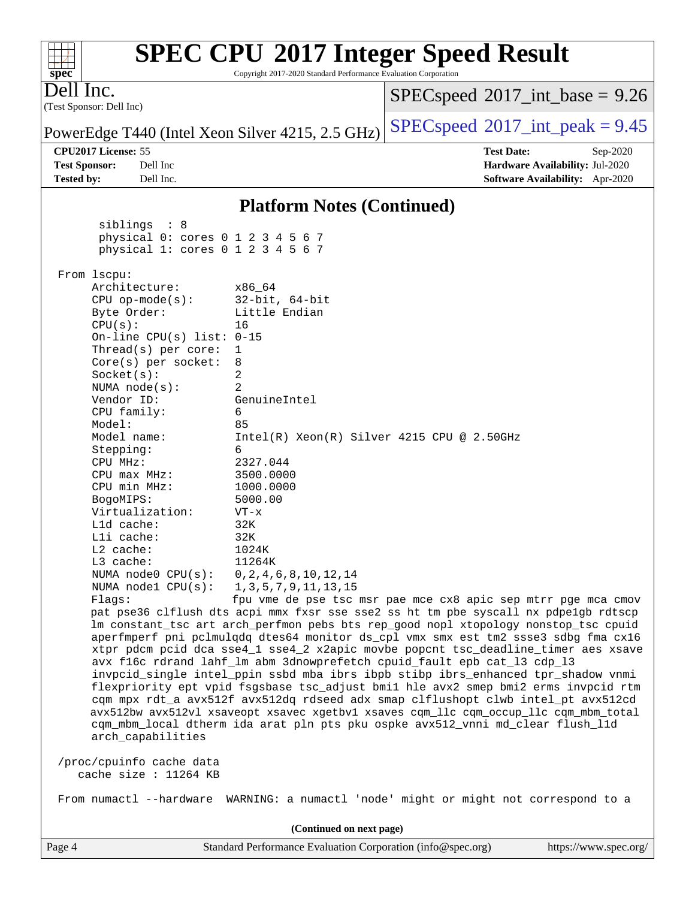| $spec^*$                                            | Copyright 2017-2020 Standard Performance Evaluation Corporation | <b>SPEC CPU®2017 Integer Speed Result</b>                                                                                                                              |
|-----------------------------------------------------|-----------------------------------------------------------------|------------------------------------------------------------------------------------------------------------------------------------------------------------------------|
| Dell Inc.<br>(Test Sponsor: Dell Inc)               |                                                                 | $SPEC speed^{\circ}2017\_int\_base = 9.26$                                                                                                                             |
| PowerEdge T440 (Intel Xeon Silver 4215, 2.5 GHz)    |                                                                 | $SPEC speed^{\circ}2017\_int\_peak = 9.45$                                                                                                                             |
| CPU2017 License: 55                                 |                                                                 | <b>Test Date:</b><br>Sep-2020                                                                                                                                          |
| Dell Inc<br><b>Test Sponsor:</b>                    |                                                                 | Hardware Availability: Jul-2020                                                                                                                                        |
| Dell Inc.<br><b>Tested by:</b>                      |                                                                 | <b>Software Availability:</b> Apr-2020                                                                                                                                 |
|                                                     | <b>Platform Notes (Continued)</b>                               |                                                                                                                                                                        |
| sibling: 8                                          |                                                                 |                                                                                                                                                                        |
| physical 0: cores 0 1 2 3 4 5 6 7                   |                                                                 |                                                                                                                                                                        |
| physical 1: cores 0 1 2 3 4 5 6 7                   |                                                                 |                                                                                                                                                                        |
| From 1scpu:                                         |                                                                 |                                                                                                                                                                        |
| Architecture:                                       | x86 64                                                          |                                                                                                                                                                        |
| $CPU$ op-mode( $s$ ):                               | $32$ -bit, $64$ -bit                                            |                                                                                                                                                                        |
| Byte Order:<br>CPU(s):                              | Little Endian<br>16                                             |                                                                                                                                                                        |
| On-line CPU(s) list: $0-15$                         |                                                                 |                                                                                                                                                                        |
| Thread(s) per core:                                 | 1                                                               |                                                                                                                                                                        |
| $Core(s)$ per socket:                               | 8                                                               |                                                                                                                                                                        |
| Socket(s):                                          | 2                                                               |                                                                                                                                                                        |
| NUMA $node(s):$                                     | 2                                                               |                                                                                                                                                                        |
| Vendor ID:<br>CPU family:                           | GenuineIntel<br>6                                               |                                                                                                                                                                        |
| Model:                                              | 85                                                              |                                                                                                                                                                        |
| Model name:                                         | $Intel(R) Xeon(R) Silver 4215 CPU @ 2.50GHz$                    |                                                                                                                                                                        |
| Stepping:                                           | 6                                                               |                                                                                                                                                                        |
| CPU MHz:                                            | 2327.044                                                        |                                                                                                                                                                        |
| $CPU$ max $MHz$ :                                   | 3500.0000                                                       |                                                                                                                                                                        |
| CPU min MHz:                                        | 1000.0000                                                       |                                                                                                                                                                        |
| BogoMIPS:<br>Virtualization:                        | 5000.00<br>$VT - x$                                             |                                                                                                                                                                        |
| L1d cache:                                          | 32K                                                             |                                                                                                                                                                        |
| Lli cache:                                          | 32K                                                             |                                                                                                                                                                        |
| L2 cache:                                           | 1024K                                                           |                                                                                                                                                                        |
| L3 cache:                                           | 11264K                                                          |                                                                                                                                                                        |
| NUMA node0 CPU(s):                                  | 0, 2, 4, 6, 8, 10, 12, 14                                       |                                                                                                                                                                        |
| NUMA nodel CPU(s):<br>Flaqs:                        | 1, 3, 5, 7, 9, 11, 13, 15                                       | fpu vme de pse tsc msr pae mce cx8 apic sep mtrr pge mca cmov                                                                                                          |
|                                                     |                                                                 | pat pse36 clflush dts acpi mmx fxsr sse sse2 ss ht tm pbe syscall nx pdpelgb rdtscp                                                                                    |
|                                                     |                                                                 | lm constant_tsc art arch_perfmon pebs bts rep_good nopl xtopology nonstop_tsc cpuid                                                                                    |
|                                                     |                                                                 | aperfmperf pni pclmulqdq dtes64 monitor ds_cpl vmx smx est tm2 ssse3 sdbg fma cx16                                                                                     |
|                                                     |                                                                 | xtpr pdcm pcid dca sse4_1 sse4_2 x2apic movbe popcnt tsc_deadline_timer aes xsave                                                                                      |
|                                                     |                                                                 | avx f16c rdrand lahf_lm abm 3dnowprefetch cpuid_fault epb cat_13 cdp_13                                                                                                |
|                                                     |                                                                 | invpcid_single intel_ppin ssbd mba ibrs ibpb stibp ibrs_enhanced tpr_shadow vnmi<br>flexpriority ept vpid fsgsbase tsc_adjust bmil hle avx2 smep bmi2 erms invpcid rtm |
|                                                     |                                                                 | cqm mpx rdt_a avx512f avx512dq rdseed adx smap clflushopt clwb intel_pt avx512cd                                                                                       |
|                                                     |                                                                 | avx512bw avx512vl xsaveopt xsavec xgetbv1 xsaves cqm_llc cqm_occup_llc cqm_mbm_total                                                                                   |
|                                                     |                                                                 | cqm_mbm_local dtherm ida arat pln pts pku ospke avx512_vnni md_clear flush_l1d                                                                                         |
| arch_capabilities                                   |                                                                 |                                                                                                                                                                        |
| /proc/cpuinfo cache data<br>cache size : $11264$ KB |                                                                 |                                                                                                                                                                        |
|                                                     |                                                                 | From numactl --hardware WARNING: a numactl 'node' might or might not correspond to a                                                                                   |
|                                                     | (Continued on next page)                                        |                                                                                                                                                                        |
|                                                     |                                                                 |                                                                                                                                                                        |

Page 4 Standard Performance Evaluation Corporation [\(info@spec.org\)](mailto:info@spec.org) <https://www.spec.org/>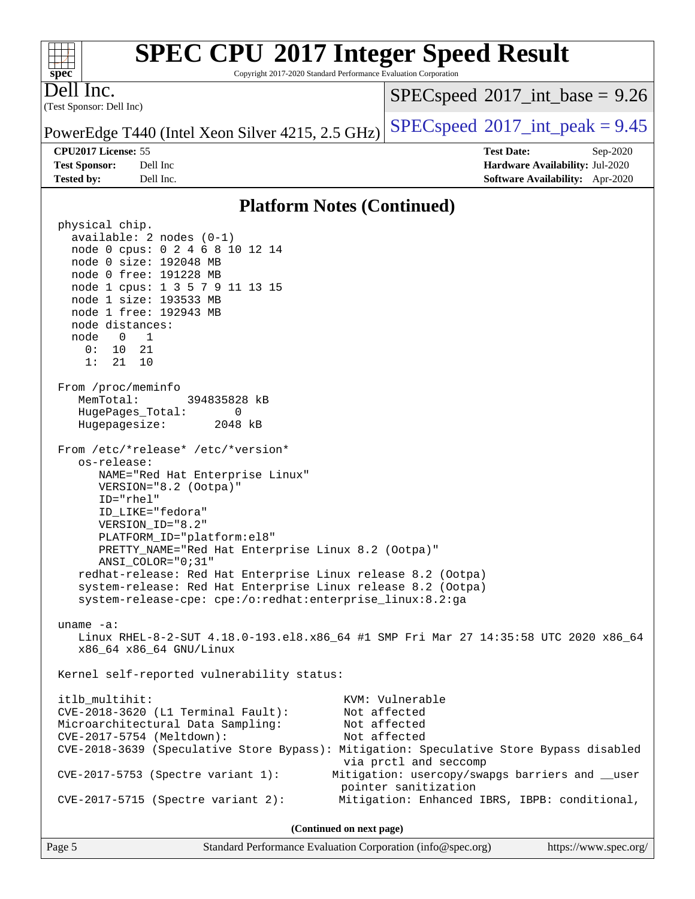Copyright 2017-2020 Standard Performance Evaluation Corporation

(Test Sponsor: Dell Inc) Dell Inc.

**[spec](http://www.spec.org/)**

 $+\ +$ 

 $SPECspeed^{\circ}2017\_int\_base = 9.26$  $SPECspeed^{\circ}2017\_int\_base = 9.26$ 

PowerEdge T440 (Intel Xeon Silver 4215, 2.5 GHz)  $\left|$  [SPECspeed](http://www.spec.org/auto/cpu2017/Docs/result-fields.html#SPECspeed2017intpeak)<sup>®</sup>[2017\\_int\\_peak = 9](http://www.spec.org/auto/cpu2017/Docs/result-fields.html#SPECspeed2017intpeak).45

**[Tested by:](http://www.spec.org/auto/cpu2017/Docs/result-fields.html#Testedby)** Dell Inc. **[Software Availability:](http://www.spec.org/auto/cpu2017/Docs/result-fields.html#SoftwareAvailability)** Apr-2020

**[CPU2017 License:](http://www.spec.org/auto/cpu2017/Docs/result-fields.html#CPU2017License)** 55 **[Test Date:](http://www.spec.org/auto/cpu2017/Docs/result-fields.html#TestDate)** Sep-2020 **[Test Sponsor:](http://www.spec.org/auto/cpu2017/Docs/result-fields.html#TestSponsor)** Dell Inc **[Hardware Availability:](http://www.spec.org/auto/cpu2017/Docs/result-fields.html#HardwareAvailability)** Jul-2020

## **[Platform Notes \(Continued\)](http://www.spec.org/auto/cpu2017/Docs/result-fields.html#PlatformNotes)**

 physical chip. available: 2 nodes (0-1) node 0 cpus: 0 2 4 6 8 10 12 14 node 0 size: 192048 MB node 0 free: 191228 MB node 1 cpus: 1 3 5 7 9 11 13 15 node 1 size: 193533 MB node 1 free: 192943 MB node distances: node 0 1 0: 10 21 1: 21 10 From /proc/meminfo MemTotal: 394835828 kB HugePages\_Total: 0 Hugepagesize: 2048 kB From /etc/\*release\* /etc/\*version\* os-release: NAME="Red Hat Enterprise Linux" VERSION="8.2 (Ootpa)" ID="rhel" ID\_LIKE="fedora" VERSION\_ID="8.2" PLATFORM\_ID="platform:el8" PRETTY\_NAME="Red Hat Enterprise Linux 8.2 (Ootpa)" ANSI\_COLOR="0;31" redhat-release: Red Hat Enterprise Linux release 8.2 (Ootpa) system-release: Red Hat Enterprise Linux release 8.2 (Ootpa) system-release-cpe: cpe:/o:redhat:enterprise\_linux:8.2:ga uname -a: Linux RHEL-8-2-SUT 4.18.0-193.el8.x86\_64 #1 SMP Fri Mar 27 14:35:58 UTC 2020 x86\_64 x86\_64 x86\_64 GNU/Linux Kernel self-reported vulnerability status: itlb\_multihit: KVM: Vulnerable CVE-2018-3620 (L1 Terminal Fault): Not affected Microarchitectural Data Sampling: Not affected CVE-2017-5754 (Meltdown): Not affected CVE-2018-3639 (Speculative Store Bypass): Mitigation: Speculative Store Bypass disabled via prctl and seccomp CVE-2017-5753 (Spectre variant 1): Mitigation: usercopy/swapgs barriers and \_\_user pointer sanitization CVE-2017-5715 (Spectre variant 2): Mitigation: Enhanced IBRS, IBPB: conditional, **(Continued on next page)**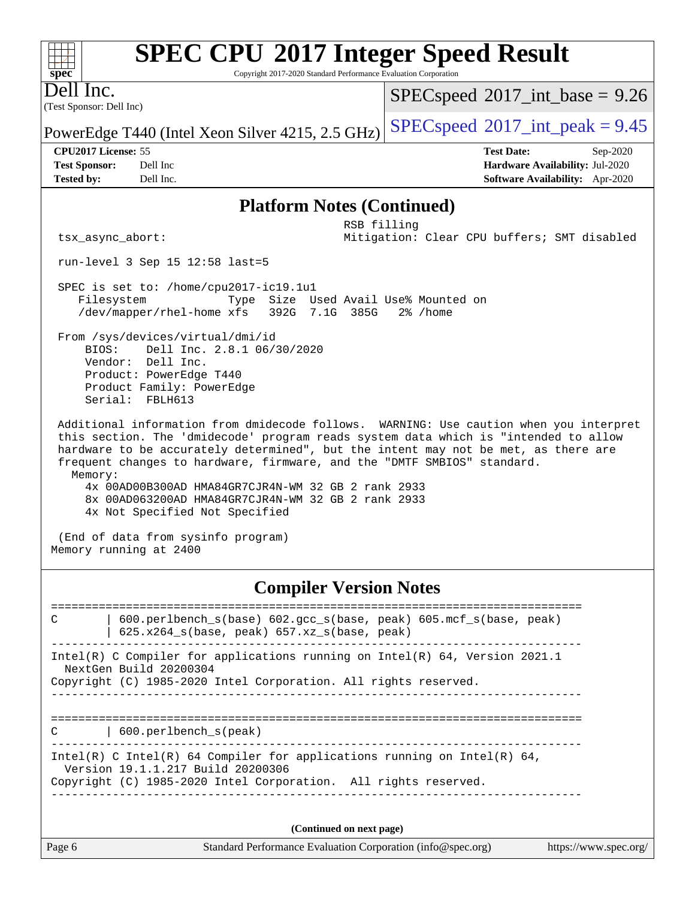Copyright 2017-2020 Standard Performance Evaluation Corporation

(Test Sponsor: Dell Inc) Dell Inc.

**[spec](http://www.spec.org/)**

 $+\hskip -1.5pt +\hskip -1.5pt +$ 

 $SPECspeed^{\circledcirc}2017\_int\_base = 9.26$  $SPECspeed^{\circledcirc}2017\_int\_base = 9.26$ 

PowerEdge T440 (Intel Xeon Silver 4215, 2.5 GHz)  $\left|$  [SPECspeed](http://www.spec.org/auto/cpu2017/Docs/result-fields.html#SPECspeed2017intpeak)<sup>®</sup>[2017\\_int\\_peak = 9](http://www.spec.org/auto/cpu2017/Docs/result-fields.html#SPECspeed2017intpeak).45

**[CPU2017 License:](http://www.spec.org/auto/cpu2017/Docs/result-fields.html#CPU2017License)** 55 **[Test Date:](http://www.spec.org/auto/cpu2017/Docs/result-fields.html#TestDate)** Sep-2020

**[Test Sponsor:](http://www.spec.org/auto/cpu2017/Docs/result-fields.html#TestSponsor)** Dell Inc **[Hardware Availability:](http://www.spec.org/auto/cpu2017/Docs/result-fields.html#HardwareAvailability)** Jul-2020 **[Tested by:](http://www.spec.org/auto/cpu2017/Docs/result-fields.html#Testedby)** Dell Inc. **[Software Availability:](http://www.spec.org/auto/cpu2017/Docs/result-fields.html#SoftwareAvailability)** Apr-2020

### **[Platform Notes \(Continued\)](http://www.spec.org/auto/cpu2017/Docs/result-fields.html#PlatformNotes)**

 RSB filling tsx\_async\_abort: Mitigation: Clear CPU buffers; SMT disabled

run-level 3 Sep 15 12:58 last=5

 SPEC is set to: /home/cpu2017-ic19.1u1 Filesystem Type Size Used Avail Use% Mounted on /dev/mapper/rhel-home xfs 392G 7.1G 385G 2% /home

 From /sys/devices/virtual/dmi/id BIOS: Dell Inc. 2.8.1 06/30/2020 Vendor: Dell Inc. Product: PowerEdge T440 Product Family: PowerEdge Serial: FBLH613

 Additional information from dmidecode follows. WARNING: Use caution when you interpret this section. The 'dmidecode' program reads system data which is "intended to allow hardware to be accurately determined", but the intent may not be met, as there are frequent changes to hardware, firmware, and the "DMTF SMBIOS" standard. Memory: 4x 00AD00B300AD HMA84GR7CJR4N-WM 32 GB 2 rank 2933 8x 00AD063200AD HMA84GR7CJR4N-WM 32 GB 2 rank 2933

4x Not Specified Not Specified

 (End of data from sysinfo program) Memory running at 2400

## **[Compiler Version Notes](http://www.spec.org/auto/cpu2017/Docs/result-fields.html#CompilerVersionNotes)**

============================================================================== C | 600.perlbench\_s(base) 602.gcc\_s(base, peak) 605.mcf\_s(base, peak) | 625.x264\_s(base, peak) 657.xz\_s(base, peak) ------------------------------------------------------------------------------ Intel(R) C Compiler for applications running on Intel(R) 64, Version 2021.1 NextGen Build 20200304 Copyright (C) 1985-2020 Intel Corporation. All rights reserved. ------------------------------------------------------------------------------ ============================================================================== C | 600.perlbench\_s(peak) ------------------------------------------------------------------------------ Intel(R) C Intel(R) 64 Compiler for applications running on Intel(R)  $64$ , Version 19.1.1.217 Build 20200306 Copyright (C) 1985-2020 Intel Corporation. All rights reserved. ------------------------------------------------------------------------------ **(Continued on next page)**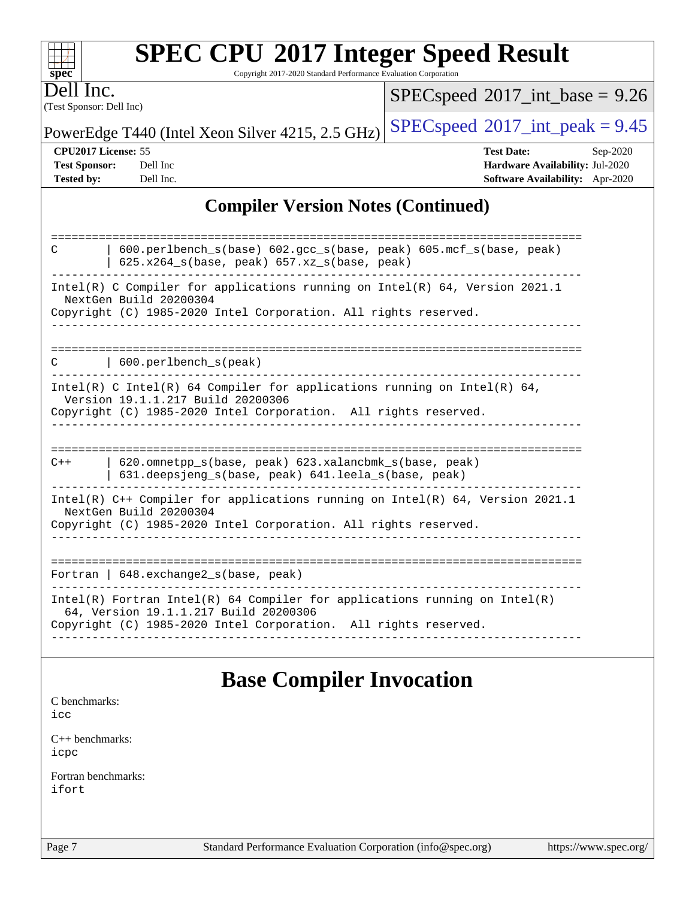| <b>SPEC CPU®2017 Integer Speed Result</b>                       |
|-----------------------------------------------------------------|
| Conveight 2017 2020 Standard Decfermance Evaluation Corneration |

Copyright 2017-2020 Standard Performance Evaluation Corporation

(Test Sponsor: Dell Inc) Dell Inc.

**[spec](http://www.spec.org/)**

 $SPECspeed*2017\_int\_base = 9.26$  $SPECspeed*2017\_int\_base = 9.26$ 

PowerEdge T440 (Intel Xeon Silver 4215, 2.5 GHz)  $\left|$  [SPECspeed](http://www.spec.org/auto/cpu2017/Docs/result-fields.html#SPECspeed2017intpeak)<sup>®</sup>[2017\\_int\\_peak = 9](http://www.spec.org/auto/cpu2017/Docs/result-fields.html#SPECspeed2017intpeak).45

**[CPU2017 License:](http://www.spec.org/auto/cpu2017/Docs/result-fields.html#CPU2017License)** 55 **[Test Date:](http://www.spec.org/auto/cpu2017/Docs/result-fields.html#TestDate)** Sep-2020 **[Test Sponsor:](http://www.spec.org/auto/cpu2017/Docs/result-fields.html#TestSponsor)** Dell Inc **[Hardware Availability:](http://www.spec.org/auto/cpu2017/Docs/result-fields.html#HardwareAvailability)** Jul-2020 **[Tested by:](http://www.spec.org/auto/cpu2017/Docs/result-fields.html#Testedby)** Dell Inc. **[Software Availability:](http://www.spec.org/auto/cpu2017/Docs/result-fields.html#SoftwareAvailability)** Apr-2020

## **[Compiler Version Notes \(Continued\)](http://www.spec.org/auto/cpu2017/Docs/result-fields.html#CompilerVersionNotes)**

| $600.perlbench_s(base) 602.gcc_s(base, peak) 605.mcf_s(base, peak)$<br>C<br>$625.x264_s(base, peak)$ 657.xz <sub>_S</sub> (base, peak)                                                 |
|----------------------------------------------------------------------------------------------------------------------------------------------------------------------------------------|
| Intel(R) C Compiler for applications running on Intel(R) $64$ , Version 2021.1<br>NextGen Build 20200304                                                                               |
| Copyright (C) 1985-2020 Intel Corporation. All rights reserved.                                                                                                                        |
| $600.$ perlbench s(peak)<br>C                                                                                                                                                          |
| Intel(R) C Intel(R) 64 Compiler for applications running on Intel(R) 64,<br>Version 19.1.1.217 Build 20200306<br>Copyright (C) 1985-2020 Intel Corporation. All rights reserved.       |
|                                                                                                                                                                                        |
| 620.omnetpp s(base, peak) 623.xalancbmk s(base, peak)<br>$C++$<br>631.deepsjeng_s(base, peak) 641.leela_s(base, peak)                                                                  |
| Intel(R) $C++$ Compiler for applications running on Intel(R) 64, Version 2021.1<br>NextGen Build 20200304                                                                              |
| Copyright (C) 1985-2020 Intel Corporation. All rights reserved.                                                                                                                        |
|                                                                                                                                                                                        |
| Fortran   $648$ . exchange2 $s$ (base, peak)                                                                                                                                           |
| Intel(R) Fortran Intel(R) 64 Compiler for applications running on Intel(R)<br>64, Version 19.1.1.217 Build 20200306<br>Copyright (C) 1985-2020 Intel Corporation. All rights reserved. |
|                                                                                                                                                                                        |

## **[Base Compiler Invocation](http://www.spec.org/auto/cpu2017/Docs/result-fields.html#BaseCompilerInvocation)**

[C benchmarks](http://www.spec.org/auto/cpu2017/Docs/result-fields.html#Cbenchmarks):

[icc](http://www.spec.org/cpu2017/results/res2020q4/cpu2017-20200928-24066.flags.html#user_CCbase_intel_icc_66fc1ee009f7361af1fbd72ca7dcefbb700085f36577c54f309893dd4ec40d12360134090235512931783d35fd58c0460139e722d5067c5574d8eaf2b3e37e92)

[C++ benchmarks:](http://www.spec.org/auto/cpu2017/Docs/result-fields.html#CXXbenchmarks) [icpc](http://www.spec.org/cpu2017/results/res2020q4/cpu2017-20200928-24066.flags.html#user_CXXbase_intel_icpc_c510b6838c7f56d33e37e94d029a35b4a7bccf4766a728ee175e80a419847e808290a9b78be685c44ab727ea267ec2f070ec5dc83b407c0218cded6866a35d07)

[Fortran benchmarks](http://www.spec.org/auto/cpu2017/Docs/result-fields.html#Fortranbenchmarks): [ifort](http://www.spec.org/cpu2017/results/res2020q4/cpu2017-20200928-24066.flags.html#user_FCbase_intel_ifort_8111460550e3ca792625aed983ce982f94888b8b503583aa7ba2b8303487b4d8a21a13e7191a45c5fd58ff318f48f9492884d4413fa793fd88dd292cad7027ca)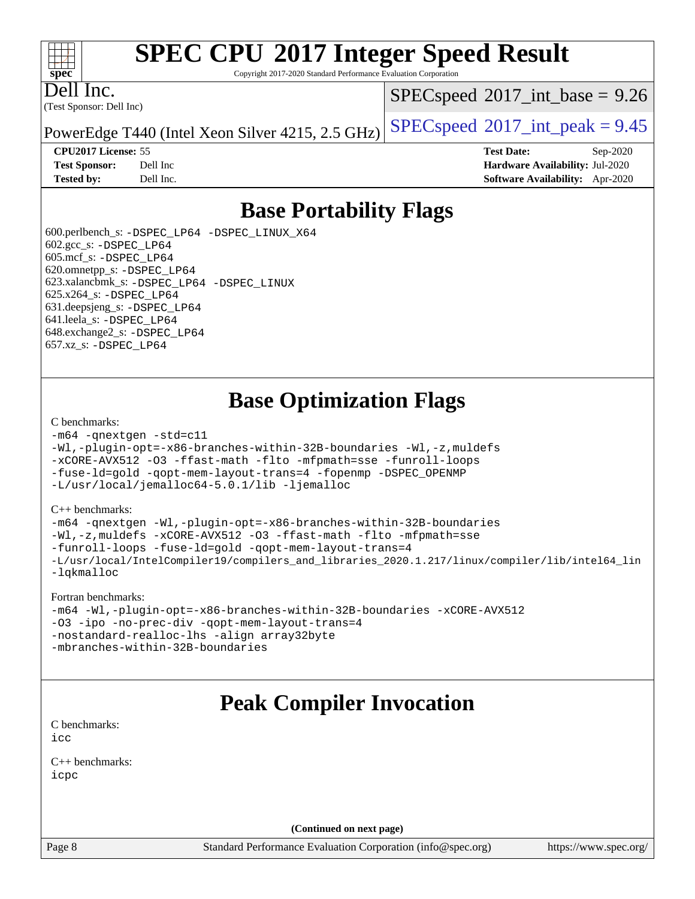### $\pm\pm\tau$ **[spec](http://www.spec.org/)**

# **[SPEC CPU](http://www.spec.org/auto/cpu2017/Docs/result-fields.html#SPECCPU2017IntegerSpeedResult)[2017 Integer Speed Result](http://www.spec.org/auto/cpu2017/Docs/result-fields.html#SPECCPU2017IntegerSpeedResult)**

Copyright 2017-2020 Standard Performance Evaluation Corporation

(Test Sponsor: Dell Inc) Dell Inc.

 $SPECspeed^{\circledcirc}2017\_int\_base = 9.26$  $SPECspeed^{\circledcirc}2017\_int\_base = 9.26$ 

PowerEdge T440 (Intel Xeon Silver 4215, 2.5 GHz)  $\left|$  [SPECspeed](http://www.spec.org/auto/cpu2017/Docs/result-fields.html#SPECspeed2017intpeak)<sup>®</sup>[2017\\_int\\_peak = 9](http://www.spec.org/auto/cpu2017/Docs/result-fields.html#SPECspeed2017intpeak).45

**[CPU2017 License:](http://www.spec.org/auto/cpu2017/Docs/result-fields.html#CPU2017License)** 55 **[Test Date:](http://www.spec.org/auto/cpu2017/Docs/result-fields.html#TestDate)** Sep-2020 **[Test Sponsor:](http://www.spec.org/auto/cpu2017/Docs/result-fields.html#TestSponsor)** Dell Inc **[Hardware Availability:](http://www.spec.org/auto/cpu2017/Docs/result-fields.html#HardwareAvailability)** Jul-2020 **[Tested by:](http://www.spec.org/auto/cpu2017/Docs/result-fields.html#Testedby)** Dell Inc. **[Software Availability:](http://www.spec.org/auto/cpu2017/Docs/result-fields.html#SoftwareAvailability)** Apr-2020

## **[Base Portability Flags](http://www.spec.org/auto/cpu2017/Docs/result-fields.html#BasePortabilityFlags)**

 600.perlbench\_s: [-DSPEC\\_LP64](http://www.spec.org/cpu2017/results/res2020q4/cpu2017-20200928-24066.flags.html#b600.perlbench_s_basePORTABILITY_DSPEC_LP64) [-DSPEC\\_LINUX\\_X64](http://www.spec.org/cpu2017/results/res2020q4/cpu2017-20200928-24066.flags.html#b600.perlbench_s_baseCPORTABILITY_DSPEC_LINUX_X64) 602.gcc\_s: [-DSPEC\\_LP64](http://www.spec.org/cpu2017/results/res2020q4/cpu2017-20200928-24066.flags.html#suite_basePORTABILITY602_gcc_s_DSPEC_LP64) 605.mcf\_s: [-DSPEC\\_LP64](http://www.spec.org/cpu2017/results/res2020q4/cpu2017-20200928-24066.flags.html#suite_basePORTABILITY605_mcf_s_DSPEC_LP64) 620.omnetpp\_s: [-DSPEC\\_LP64](http://www.spec.org/cpu2017/results/res2020q4/cpu2017-20200928-24066.flags.html#suite_basePORTABILITY620_omnetpp_s_DSPEC_LP64) 623.xalancbmk\_s: [-DSPEC\\_LP64](http://www.spec.org/cpu2017/results/res2020q4/cpu2017-20200928-24066.flags.html#suite_basePORTABILITY623_xalancbmk_s_DSPEC_LP64) [-DSPEC\\_LINUX](http://www.spec.org/cpu2017/results/res2020q4/cpu2017-20200928-24066.flags.html#b623.xalancbmk_s_baseCXXPORTABILITY_DSPEC_LINUX) 625.x264\_s: [-DSPEC\\_LP64](http://www.spec.org/cpu2017/results/res2020q4/cpu2017-20200928-24066.flags.html#suite_basePORTABILITY625_x264_s_DSPEC_LP64) 631.deepsjeng\_s: [-DSPEC\\_LP64](http://www.spec.org/cpu2017/results/res2020q4/cpu2017-20200928-24066.flags.html#suite_basePORTABILITY631_deepsjeng_s_DSPEC_LP64) 641.leela\_s: [-DSPEC\\_LP64](http://www.spec.org/cpu2017/results/res2020q4/cpu2017-20200928-24066.flags.html#suite_basePORTABILITY641_leela_s_DSPEC_LP64) 648.exchange2\_s: [-DSPEC\\_LP64](http://www.spec.org/cpu2017/results/res2020q4/cpu2017-20200928-24066.flags.html#suite_basePORTABILITY648_exchange2_s_DSPEC_LP64) 657.xz\_s: [-DSPEC\\_LP64](http://www.spec.org/cpu2017/results/res2020q4/cpu2017-20200928-24066.flags.html#suite_basePORTABILITY657_xz_s_DSPEC_LP64)

## **[Base Optimization Flags](http://www.spec.org/auto/cpu2017/Docs/result-fields.html#BaseOptimizationFlags)**

#### [C benchmarks](http://www.spec.org/auto/cpu2017/Docs/result-fields.html#Cbenchmarks):

```
-m64 -qnextgen -std=c11
-Wl,-plugin-opt=-x86-branches-within-32B-boundaries -Wl,-z,muldefs
-xCORE-AVX512 -O3 -ffast-math -flto -mfpmath=sse -funroll-loops
-fuse-ld=gold -qopt-mem-layout-trans=4 -fopenmp -DSPEC_OPENMP
-L/usr/local/jemalloc64-5.0.1/lib -ljemalloc
```
#### [C++ benchmarks:](http://www.spec.org/auto/cpu2017/Docs/result-fields.html#CXXbenchmarks)

```
-m64 -qnextgen -Wl,-plugin-opt=-x86-branches-within-32B-boundaries
-Wl,-z,muldefs -xCORE-AVX512 -O3 -ffast-math -flto -mfpmath=sse
-funroll-loops -fuse-ld=gold -qopt-mem-layout-trans=4
-L/usr/local/IntelCompiler19/compilers_and_libraries_2020.1.217/linux/compiler/lib/intel64_lin
-lqkmalloc
```
#### [Fortran benchmarks:](http://www.spec.org/auto/cpu2017/Docs/result-fields.html#Fortranbenchmarks)

```
-m64 -Wl,-plugin-opt=-x86-branches-within-32B-boundaries -xCORE-AVX512
-O3 -ipo -no-prec-div -qopt-mem-layout-trans=4
-nostandard-realloc-lhs -align array32byte
-mbranches-within-32B-boundaries
```
## **[Peak Compiler Invocation](http://www.spec.org/auto/cpu2017/Docs/result-fields.html#PeakCompilerInvocation)**

[C benchmarks](http://www.spec.org/auto/cpu2017/Docs/result-fields.html#Cbenchmarks): [icc](http://www.spec.org/cpu2017/results/res2020q4/cpu2017-20200928-24066.flags.html#user_CCpeak_intel_icc_66fc1ee009f7361af1fbd72ca7dcefbb700085f36577c54f309893dd4ec40d12360134090235512931783d35fd58c0460139e722d5067c5574d8eaf2b3e37e92)

[C++ benchmarks:](http://www.spec.org/auto/cpu2017/Docs/result-fields.html#CXXbenchmarks) [icpc](http://www.spec.org/cpu2017/results/res2020q4/cpu2017-20200928-24066.flags.html#user_CXXpeak_intel_icpc_c510b6838c7f56d33e37e94d029a35b4a7bccf4766a728ee175e80a419847e808290a9b78be685c44ab727ea267ec2f070ec5dc83b407c0218cded6866a35d07)

**(Continued on next page)**

Page 8 Standard Performance Evaluation Corporation [\(info@spec.org\)](mailto:info@spec.org) <https://www.spec.org/>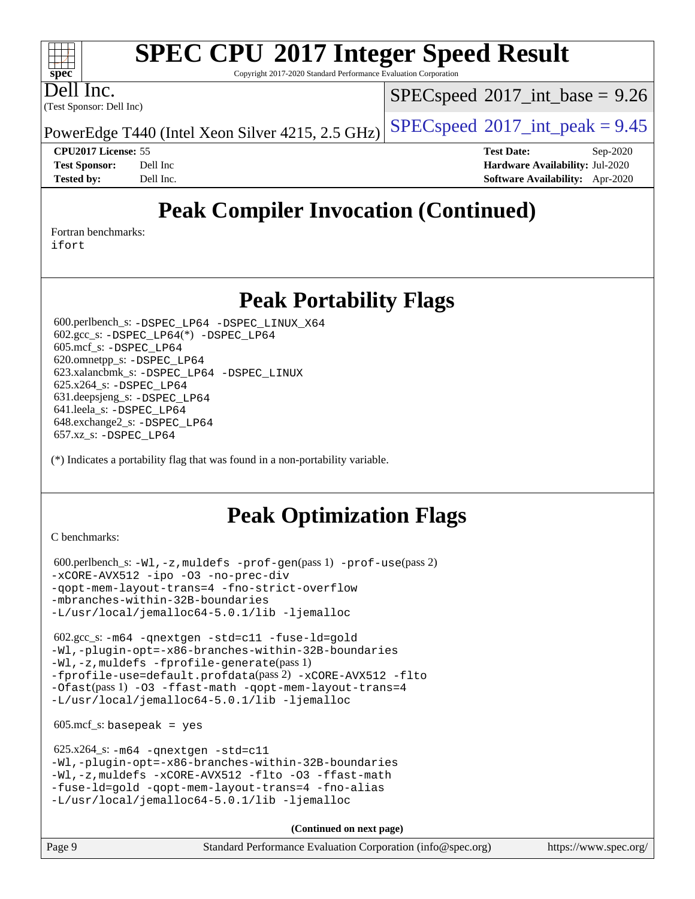Copyright 2017-2020 Standard Performance Evaluation Corporation

Dell Inc.

**[spec](http://www.spec.org/)**

 $+\ +$ 

(Test Sponsor: Dell Inc)

 $SPECspeed^{\circledcirc}2017\_int\_base = 9.26$  $SPECspeed^{\circledcirc}2017\_int\_base = 9.26$ 

PowerEdge T440 (Intel Xeon Silver 4215, 2.5 GHz)  $\left|$  [SPECspeed](http://www.spec.org/auto/cpu2017/Docs/result-fields.html#SPECspeed2017intpeak)<sup>®</sup>[2017\\_int\\_peak = 9](http://www.spec.org/auto/cpu2017/Docs/result-fields.html#SPECspeed2017intpeak).45

**[Tested by:](http://www.spec.org/auto/cpu2017/Docs/result-fields.html#Testedby)** Dell Inc. **[Software Availability:](http://www.spec.org/auto/cpu2017/Docs/result-fields.html#SoftwareAvailability)** Apr-2020

**[CPU2017 License:](http://www.spec.org/auto/cpu2017/Docs/result-fields.html#CPU2017License)** 55 **[Test Date:](http://www.spec.org/auto/cpu2017/Docs/result-fields.html#TestDate)** Sep-2020 **[Test Sponsor:](http://www.spec.org/auto/cpu2017/Docs/result-fields.html#TestSponsor)** Dell Inc **[Hardware Availability:](http://www.spec.org/auto/cpu2017/Docs/result-fields.html#HardwareAvailability)** Jul-2020

## **[Peak Compiler Invocation \(Continued\)](http://www.spec.org/auto/cpu2017/Docs/result-fields.html#PeakCompilerInvocation)**

[Fortran benchmarks](http://www.spec.org/auto/cpu2017/Docs/result-fields.html#Fortranbenchmarks):

[ifort](http://www.spec.org/cpu2017/results/res2020q4/cpu2017-20200928-24066.flags.html#user_FCpeak_intel_ifort_8111460550e3ca792625aed983ce982f94888b8b503583aa7ba2b8303487b4d8a21a13e7191a45c5fd58ff318f48f9492884d4413fa793fd88dd292cad7027ca)

## **[Peak Portability Flags](http://www.spec.org/auto/cpu2017/Docs/result-fields.html#PeakPortabilityFlags)**

 600.perlbench\_s: [-DSPEC\\_LP64](http://www.spec.org/cpu2017/results/res2020q4/cpu2017-20200928-24066.flags.html#b600.perlbench_s_peakPORTABILITY_DSPEC_LP64) [-DSPEC\\_LINUX\\_X64](http://www.spec.org/cpu2017/results/res2020q4/cpu2017-20200928-24066.flags.html#b600.perlbench_s_peakCPORTABILITY_DSPEC_LINUX_X64) 602.gcc\_s: [-DSPEC\\_LP64](http://www.spec.org/cpu2017/results/res2020q4/cpu2017-20200928-24066.flags.html#suite_peakCCLD602_gcc_s_DSPEC_LP64)(\*) [-DSPEC\\_LP64](http://www.spec.org/cpu2017/results/res2020q4/cpu2017-20200928-24066.flags.html#suite_peakPORTABILITY602_gcc_s_DSPEC_LP64) 605.mcf\_s: [-DSPEC\\_LP64](http://www.spec.org/cpu2017/results/res2020q4/cpu2017-20200928-24066.flags.html#suite_peakPORTABILITY605_mcf_s_DSPEC_LP64) 620.omnetpp\_s: [-DSPEC\\_LP64](http://www.spec.org/cpu2017/results/res2020q4/cpu2017-20200928-24066.flags.html#suite_peakPORTABILITY620_omnetpp_s_DSPEC_LP64) 623.xalancbmk\_s: [-DSPEC\\_LP64](http://www.spec.org/cpu2017/results/res2020q4/cpu2017-20200928-24066.flags.html#suite_peakPORTABILITY623_xalancbmk_s_DSPEC_LP64) [-DSPEC\\_LINUX](http://www.spec.org/cpu2017/results/res2020q4/cpu2017-20200928-24066.flags.html#b623.xalancbmk_s_peakCXXPORTABILITY_DSPEC_LINUX) 625.x264\_s: [-DSPEC\\_LP64](http://www.spec.org/cpu2017/results/res2020q4/cpu2017-20200928-24066.flags.html#suite_peakPORTABILITY625_x264_s_DSPEC_LP64) 631.deepsjeng\_s: [-DSPEC\\_LP64](http://www.spec.org/cpu2017/results/res2020q4/cpu2017-20200928-24066.flags.html#suite_peakPORTABILITY631_deepsjeng_s_DSPEC_LP64) 641.leela\_s: [-DSPEC\\_LP64](http://www.spec.org/cpu2017/results/res2020q4/cpu2017-20200928-24066.flags.html#suite_peakPORTABILITY641_leela_s_DSPEC_LP64) 648.exchange2\_s: [-DSPEC\\_LP64](http://www.spec.org/cpu2017/results/res2020q4/cpu2017-20200928-24066.flags.html#suite_peakPORTABILITY648_exchange2_s_DSPEC_LP64) 657.xz\_s: [-DSPEC\\_LP64](http://www.spec.org/cpu2017/results/res2020q4/cpu2017-20200928-24066.flags.html#suite_peakPORTABILITY657_xz_s_DSPEC_LP64)

(\*) Indicates a portability flag that was found in a non-portability variable.

## **[Peak Optimization Flags](http://www.spec.org/auto/cpu2017/Docs/result-fields.html#PeakOptimizationFlags)**

[C benchmarks](http://www.spec.org/auto/cpu2017/Docs/result-fields.html#Cbenchmarks):

```
 600.perlbench_s: -Wl,-z,muldefs -prof-gen(pass 1) -prof-use(pass 2)
-xCORE-AVX512 -ipo -O3 -no-prec-div
-qopt-mem-layout-trans=4 -fno-strict-overflow
-mbranches-within-32B-boundaries
-L/usr/local/jemalloc64-5.0.1/lib -ljemalloc
```
 602.gcc\_s: [-m64](http://www.spec.org/cpu2017/results/res2020q4/cpu2017-20200928-24066.flags.html#user_peakCCLD602_gcc_s_m64-icc) [-qnextgen](http://www.spec.org/cpu2017/results/res2020q4/cpu2017-20200928-24066.flags.html#user_peakCCLD602_gcc_s_f-qnextgen) [-std=c11](http://www.spec.org/cpu2017/results/res2020q4/cpu2017-20200928-24066.flags.html#user_peakCCLD602_gcc_s_std-icc-std_0e1c27790398a4642dfca32ffe6c27b5796f9c2d2676156f2e42c9c44eaad0c049b1cdb667a270c34d979996257aeb8fc440bfb01818dbc9357bd9d174cb8524) [-fuse-ld=gold](http://www.spec.org/cpu2017/results/res2020q4/cpu2017-20200928-24066.flags.html#user_peakCCLD602_gcc_s_f-fuse-ld_920b3586e2b8c6e0748b9c84fa9b744736ba725a32cab14ad8f3d4ad28eecb2f59d1144823d2e17006539a88734fe1fc08fc3035f7676166309105a78aaabc32) [-Wl,-plugin-opt=-x86-branches-within-32B-boundaries](http://www.spec.org/cpu2017/results/res2020q4/cpu2017-20200928-24066.flags.html#user_peakLDFLAGS602_gcc_s_f-x86-branches-within-32B-boundaries_0098b4e4317ae60947b7b728078a624952a08ac37a3c797dfb4ffeb399e0c61a9dd0f2f44ce917e9361fb9076ccb15e7824594512dd315205382d84209e912f3) [-Wl,-z,muldefs](http://www.spec.org/cpu2017/results/res2020q4/cpu2017-20200928-24066.flags.html#user_peakEXTRA_LDFLAGS602_gcc_s_link_force_multiple1_b4cbdb97b34bdee9ceefcfe54f4c8ea74255f0b02a4b23e853cdb0e18eb4525ac79b5a88067c842dd0ee6996c24547a27a4b99331201badda8798ef8a743f577) [-fprofile-generate](http://www.spec.org/cpu2017/results/res2020q4/cpu2017-20200928-24066.flags.html#user_peakPASS1_CFLAGSPASS1_LDFLAGS602_gcc_s_fprofile-generate)(pass 1) [-fprofile-use=default.profdata](http://www.spec.org/cpu2017/results/res2020q4/cpu2017-20200928-24066.flags.html#user_peakPASS2_CFLAGSPASS2_LDFLAGS602_gcc_s_fprofile-use_56aeee182b92ec249f9670f17c9b8e7d83fe2d25538e35a2cf64c434b579a2235a8b8fc66ef5678d24461366bbab9d486c870d8a72905233fc08e43eefe3cd80)(pass 2) [-xCORE-AVX512](http://www.spec.org/cpu2017/results/res2020q4/cpu2017-20200928-24066.flags.html#user_peakCOPTIMIZEPASS1_CFLAGSPASS1_LDFLAGS602_gcc_s_f-xCORE-AVX512) [-flto](http://www.spec.org/cpu2017/results/res2020q4/cpu2017-20200928-24066.flags.html#user_peakCOPTIMIZEPASS1_CFLAGSPASS1_LDFLAGS602_gcc_s_f-flto) [-Ofast](http://www.spec.org/cpu2017/results/res2020q4/cpu2017-20200928-24066.flags.html#user_peakPASS1_CFLAGSPASS1_LDFLAGS602_gcc_s_f-Ofast)(pass 1) [-O3](http://www.spec.org/cpu2017/results/res2020q4/cpu2017-20200928-24066.flags.html#user_peakCOPTIMIZE602_gcc_s_f-O3) [-ffast-math](http://www.spec.org/cpu2017/results/res2020q4/cpu2017-20200928-24066.flags.html#user_peakCOPTIMIZE602_gcc_s_f-ffast-math) [-qopt-mem-layout-trans=4](http://www.spec.org/cpu2017/results/res2020q4/cpu2017-20200928-24066.flags.html#user_peakCOPTIMIZE602_gcc_s_f-qopt-mem-layout-trans_fa39e755916c150a61361b7846f310bcdf6f04e385ef281cadf3647acec3f0ae266d1a1d22d972a7087a248fd4e6ca390a3634700869573d231a252c784941a8) [-L/usr/local/jemalloc64-5.0.1/lib](http://www.spec.org/cpu2017/results/res2020q4/cpu2017-20200928-24066.flags.html#user_peakEXTRA_LIBS602_gcc_s_jemalloc_link_path64_1_cc289568b1a6c0fd3b62c91b824c27fcb5af5e8098e6ad028160d21144ef1b8aef3170d2acf0bee98a8da324cfe4f67d0a3d0c4cc4673d993d694dc2a0df248b) [-ljemalloc](http://www.spec.org/cpu2017/results/res2020q4/cpu2017-20200928-24066.flags.html#user_peakEXTRA_LIBS602_gcc_s_jemalloc_link_lib_d1249b907c500fa1c0672f44f562e3d0f79738ae9e3c4a9c376d49f265a04b9c99b167ecedbf6711b3085be911c67ff61f150a17b3472be731631ba4d0471706)

 $605.\text{mcf}\text{ s}:$  basepeak = yes

```
 625.x264_s: -m64 -qnextgen -std=c11
-Wl,-plugin-opt=-x86-branches-within-32B-boundaries
-Wl,-z,muldefs -xCORE-AVX512 -flto -O3 -ffast-math
-fuse-ld=gold -qopt-mem-layout-trans=4 -fno-alias
-L/usr/local/jemalloc64-5.0.1/lib -ljemalloc
```
**(Continued on next page)**